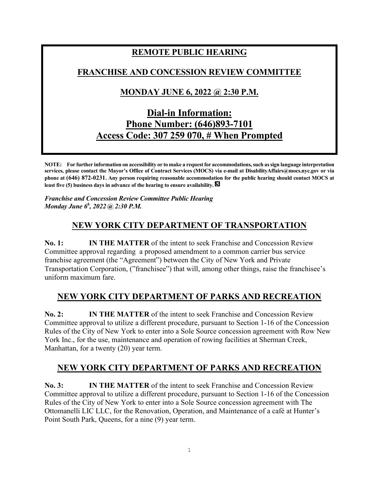# **REMOTE PUBLIC HEARING FRANCHISE AND CONCESSION REVIEW COMMITTEE MONDAY JUNE 6, 2022 @ 2:30 P.M. Dial-in Information: Phone Number: (646)893-7101 Access Code: 307 259 070, # When Prompted**

**NOTE: For further information on accessibility or to make a request for accommodations, such as sign language interpretation services, please contact the Mayor's Office of Contract Services (MOCS) via e-mail at DisabilityAffairs@mocs.nyc.gov or via phone at (646) 872-0231. Any person requiring reasonable accommodation for the public hearing should contact MOCS at least five (5) business days in advance of the hearing to ensure availability.** 

*Franchise and Concession Review Committee Public Hearing Monday June 6h , 2022 @ 2:30 P.M.*

## **NEW YORK CITY DEPARTMENT OF TRANSPORTATION**

**No. 1: IN THE MATTER** of the intent to seek Franchise and Concession Review Committee approval regarding a proposed amendment to a common carrier bus service franchise agreement (the "Agreement") between the City of New York and Private Transportation Corporation, ("franchisee") that will, among other things, raise the franchisee's uniform maximum fare.

## **NEW YORK CITY DEPARTMENT OF PARKS AND RECREATION**

**No. 2: IN THE MATTER** of the intent to seek Franchise and Concession Review Committee approval to utilize a different procedure, pursuant to Section 1-16 of the Concession Rules of the City of New York to enter into a Sole Source concession agreement with Row New York Inc., for the use, maintenance and operation of rowing facilities at Sherman Creek, Manhattan, for a twenty (20) year term.

#### **NEW YORK CITY DEPARTMENT OF PARKS AND RECREATION**

**No. 3: IN THE MATTER** of the intent to seek Franchise and Concession Review Committee approval to utilize a different procedure, pursuant to Section 1-16 of the Concession Rules of the City of New York to enter into a Sole Source concession agreement with The Ottomanelli LIC LLC, for the Renovation, Operation, and Maintenance of a café at Hunter's Point South Park, Queens, for a nine (9) year term.